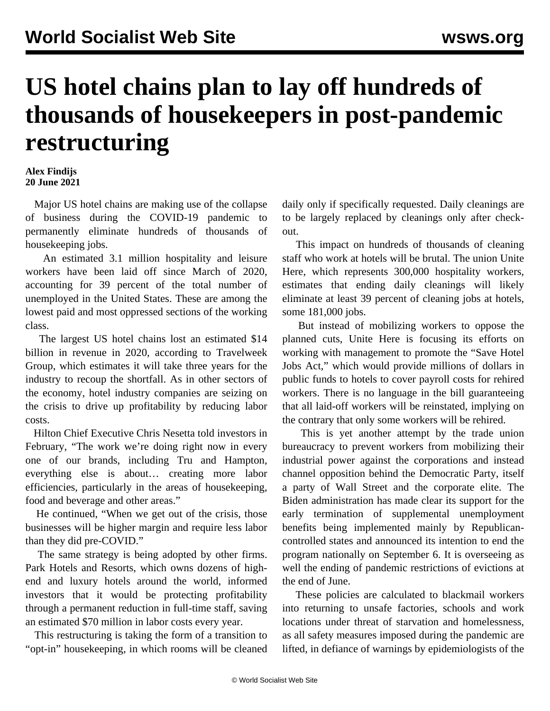## **US hotel chains plan to lay off hundreds of thousands of housekeepers in post-pandemic restructuring**

## **Alex Findijs 20 June 2021**

 Major US hotel chains are making use of the collapse of business during the COVID-19 pandemic to permanently eliminate hundreds of thousands of housekeeping jobs.

 An estimated 3.1 million hospitality and leisure workers have been laid off since March of 2020, accounting for 39 percent of the total number of unemployed in the United States. These are among the lowest paid and most oppressed sections of the working class.

 The largest US hotel chains lost an estimated \$14 billion in revenue in 2020, according to Travelweek Group, which estimates it will take three years for the industry to recoup the shortfall. As in other sectors of the economy, hotel industry companies are seizing on the crisis to drive up profitability by reducing labor costs.

 Hilton Chief Executive Chris Nesetta told investors in February, "The work we're doing right now in every one of our brands, including Tru and Hampton, everything else is about… creating more labor efficiencies, particularly in the areas of housekeeping, food and beverage and other areas."

 He continued, "When we get out of the crisis, those businesses will be higher margin and require less labor than they did pre-COVID."

 The same strategy is being adopted by other firms. Park Hotels and Resorts, which owns dozens of highend and luxury hotels around the world, informed investors that it would be protecting profitability through a permanent reduction in full-time staff, saving an estimated \$70 million in labor costs every year.

 This restructuring is taking the form of a transition to "opt-in" housekeeping, in which rooms will be cleaned daily only if specifically requested. Daily cleanings are to be largely replaced by cleanings only after checkout.

 This impact on hundreds of thousands of cleaning staff who work at hotels will be brutal. The union Unite Here, which represents 300,000 hospitality workers, estimates that ending daily cleanings will likely eliminate at least 39 percent of cleaning jobs at hotels, some 181,000 jobs.

 But instead of mobilizing workers to oppose the planned cuts, Unite Here is focusing its efforts on working with management to promote the "Save Hotel Jobs Act," which would provide millions of dollars in public funds to hotels to cover payroll costs for rehired workers. There is no language in the bill guaranteeing that all laid-off workers will be reinstated, implying on the contrary that only some workers will be rehired.

 This is yet another attempt by the trade union bureaucracy to prevent workers from mobilizing their industrial power against the corporations and instead channel opposition behind the Democratic Party, itself a party of Wall Street and the corporate elite. The Biden administration has made clear its support for the early termination of supplemental unemployment benefits being implemented mainly by Republicancontrolled states and announced its intention to end the program nationally on September 6. It is overseeing as well the ending of pandemic restrictions of evictions at the end of June.

 These policies are calculated to blackmail workers into returning to unsafe factories, schools and work locations under threat of starvation and homelessness, as all safety measures imposed during the pandemic are lifted, in defiance of warnings by epidemiologists of the